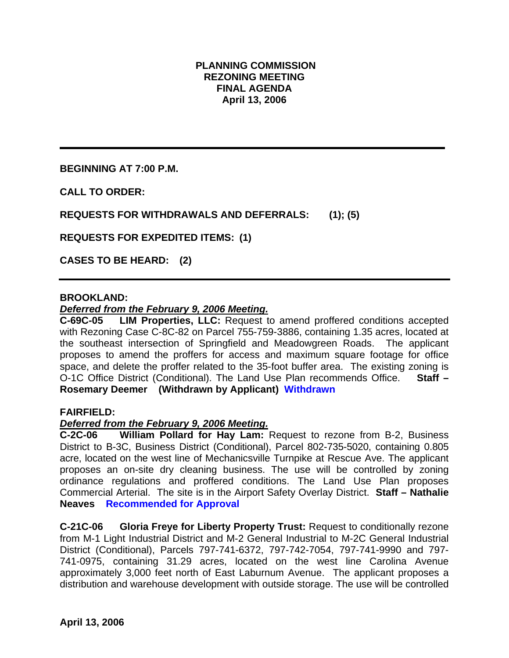# **PLANNING COMMISSION REZONING MEETING FINAL AGENDA April 13, 2006**

**BEGINNING AT 7:00 P.M.** 

**CALL TO ORDER:** 

**REQUESTS FOR WITHDRAWALS AND DEFERRALS: (1); (5)** 

**REQUESTS FOR EXPEDITED ITEMS: (1)** 

**CASES TO BE HEARD: (2)** 

## **BROOKLAND:**

### *Deferred from the February 9, 2006 Meeting.*

**C-69C-05 LIM Properties, LLC:** Request to amend proffered conditions accepted with Rezoning Case C-8C-82 on Parcel 755-759-3886, containing 1.35 acres, located at the southeast intersection of Springfield and Meadowgreen Roads. The applicant proposes to amend the proffers for access and maximum square footage for office space, and delete the proffer related to the 35-foot buffer area. The existing zoning is O-1C Office District (Conditional). The Land Use Plan recommends Office. **Staff – Rosemary Deemer (Withdrawn by Applicant) Withdrawn**

### **FAIRFIELD:**

### *Deferred from the February 9, 2006 Meeting.*

**C-2C-06 William Pollard for Hay Lam:** Request to rezone from B-2, Business District to B-3C, Business District (Conditional), Parcel 802-735-5020, containing 0.805 acre, located on the west line of Mechanicsville Turnpike at Rescue Ave. The applicant proposes an on-site dry cleaning business. The use will be controlled by zoning ordinance regulations and proffered conditions. The Land Use Plan proposes Commercial Arterial. The site is in the Airport Safety Overlay District. **Staff – Nathalie Neaves Recommended for Approval** 

**C-21C-06 Gloria Freye for Liberty Property Trust:** Request to conditionally rezone from M-1 Light Industrial District and M-2 General Industrial to M-2C General Industrial District (Conditional), Parcels 797-741-6372, 797-742-7054, 797-741-9990 and 797- 741-0975, containing 31.29 acres, located on the west line Carolina Avenue approximately 3,000 feet north of East Laburnum Avenue. The applicant proposes a distribution and warehouse development with outside storage. The use will be controlled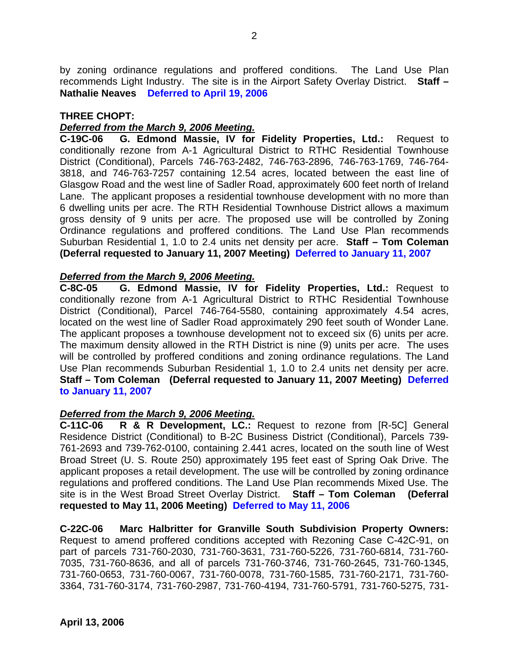by zoning ordinance regulations and proffered conditions. The Land Use Plan recommends Light Industry. The site is in the Airport Safety Overlay District. **Staff – Nathalie Neaves Deferred to April 19, 2006** 

## **THREE CHOPT:**

# *Deferred from the March 9, 2006 Meeting.*

**C-19C-06 G. Edmond Massie, IV for Fidelity Properties, Ltd.:** Request to conditionally rezone from A-1 Agricultural District to RTHC Residential Townhouse District (Conditional), Parcels 746-763-2482, 746-763-2896, 746-763-1769, 746-764- 3818, and 746-763-7257 containing 12.54 acres, located between the east line of Glasgow Road and the west line of Sadler Road, approximately 600 feet north of Ireland Lane. The applicant proposes a residential townhouse development with no more than 6 dwelling units per acre. The RTH Residential Townhouse District allows a maximum gross density of 9 units per acre. The proposed use will be controlled by Zoning Ordinance regulations and proffered conditions. The Land Use Plan recommends Suburban Residential 1, 1.0 to 2.4 units net density per acre. **Staff – Tom Coleman (Deferral requested to January 11, 2007 Meeting) Deferred to January 11, 2007**

# *Deferred from the March 9, 2006 Meeting.*

**C-8C-05 G. Edmond Massie, IV for Fidelity Properties, Ltd.:** Request to conditionally rezone from A-1 Agricultural District to RTHC Residential Townhouse District (Conditional), Parcel 746-764-5580, containing approximately 4.54 acres, located on the west line of Sadler Road approximately 290 feet south of Wonder Lane. The applicant proposes a townhouse development not to exceed six (6) units per acre. The maximum density allowed in the RTH District is nine (9) units per acre. The uses will be controlled by proffered conditions and zoning ordinance regulations. The Land Use Plan recommends Suburban Residential 1, 1.0 to 2.4 units net density per acre. **Staff – Tom Coleman (Deferral requested to January 11, 2007 Meeting) Deferred to January 11, 2007** 

# *Deferred from the March 9, 2006 Meeting.*

**C-11C-06 R & R Development, LC.:** Request to rezone from [R-5C] General Residence District (Conditional) to B-2C Business District (Conditional), Parcels 739- 761-2693 and 739-762-0100, containing 2.441 acres, located on the south line of West Broad Street (U. S. Route 250) approximately 195 feet east of Spring Oak Drive. The applicant proposes a retail development. The use will be controlled by zoning ordinance regulations and proffered conditions. The Land Use Plan recommends Mixed Use. The site is in the West Broad Street Overlay District. **Staff – Tom Coleman (Deferral requested to May 11, 2006 Meeting) Deferred to May 11, 2006** 

**C-22C-06 Marc Halbritter for Granville South Subdivision Property Owners:** Request to amend proffered conditions accepted with Rezoning Case C-42C-91, on part of parcels 731-760-2030, 731-760-3631, 731-760-5226, 731-760-6814, 731-760- 7035, 731-760-8636, and all of parcels 731-760-3746, 731-760-2645, 731-760-1345, 731-760-0653, 731-760-0067, 731-760-0078, 731-760-1585, 731-760-2171, 731-760- 3364, 731-760-3174, 731-760-2987, 731-760-4194, 731-760-5791, 731-760-5275, 731